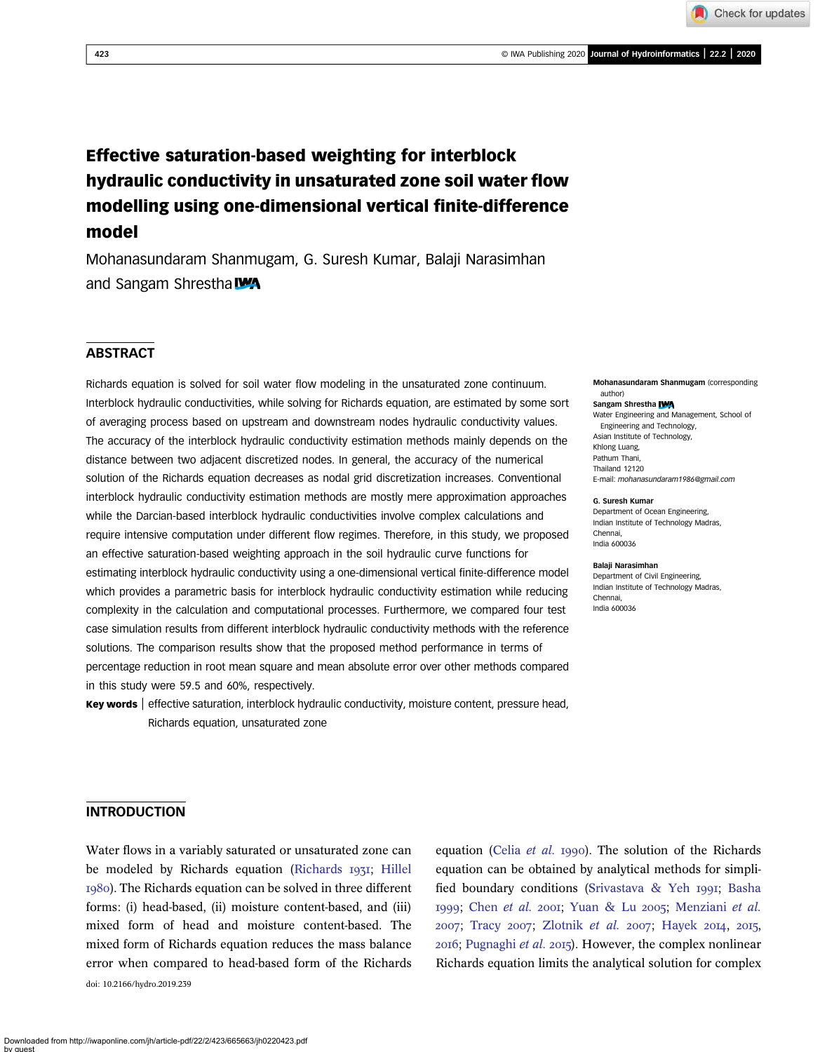# Effective saturation-based weighting for interblock hydraulic conductivity in unsaturated zone soil water flow modelling using one-dimensional vertical finite-difference model

Mohanasundaram Shanmugam, G. Suresh Kumar, Balaji Narasimhan and Sangam Shrestha

## **ABSTRACT**

Richards equation is solved for soil water flow modeling in the unsaturated zone continuum. Interblock hydraulic conductivities, while solving for Richards equation, are estimated by some sort of averaging process based on upstream and downstream nodes hydraulic conductivity values. The accuracy of the interblock hydraulic conductivity estimation methods mainly depends on the distance between two adjacent discretized nodes. In general, the accuracy of the numerical solution of the Richards equation decreases as nodal grid discretization increases. Conventional interblock hydraulic conductivity estimation methods are mostly mere approximation approaches while the Darcian-based interblock hydraulic conductivities involve complex calculations and require intensive computation under different flow regimes. Therefore, in this study, we proposed an effective saturation-based weighting approach in the soil hydraulic curve functions for estimating interblock hydraulic conductivity using a one-dimensional vertical finite-difference model which provides a parametric basis for interblock hydraulic conductivity estimation while reducing complexity in the calculation and computational processes. Furthermore, we compared four test case simulation results from different interblock hydraulic conductivity methods with the reference solutions. The comparison results show that the proposed method performance in terms of percentage reduction in root mean square and mean absolute error over other methods compared in this study were 59.5 and 60%, respectively.

Key words | effective saturation, interblock hydraulic conductivity, moisture content, pressure head, Richards equation, unsaturated zone

#### Mohanasundaram Shanmugam (corresponding author)

#### Sangam Shrestha IWA

Water Engineering and Management, School of Engineering and Technology, Asian Institute of Technology, Khlong Luang, Pathum Thani, Thailand 12120 E-mail: mohanasundaram1986@gmail.com

#### G. Suresh Kumar

Department of Ocean Engineering, Indian Institute of Technology Madras, Chennai, India 600036

#### Balaji Narasimhan

Department of Civil Engineering, Indian Institute of Technology Madras, Chennai, India 600036

### **INTRODUCTION**

Water flows in a variably saturated or unsaturated zone can be modeled by Richards equation (Richards 1931; Hillel ). The Richards equation can be solved in three different forms: (i) head-based, (ii) moisture content-based, and (iii) mixed form of head and moisture content-based. The mixed form of Richards equation reduces the mass balance error when compared to head-based form of the Richards doi: 10.2166/hydro.2019.239

equation (Celia *et al.* 1990). The solution of the Richards equation can be obtained by analytical methods for simplified boundary conditions (Srivastava & Yeh 1991; Basha 1999; Chen *et al.* 2001; Yuan & Lu 2005; Menziani *et al.* 2007; Tracy 2007; Zlotnik et al. 2007; Hayek 2014, 2015, ; Pugnaghi *et al.* ). However, the complex nonlinear Richards equation limits the analytical solution for complex

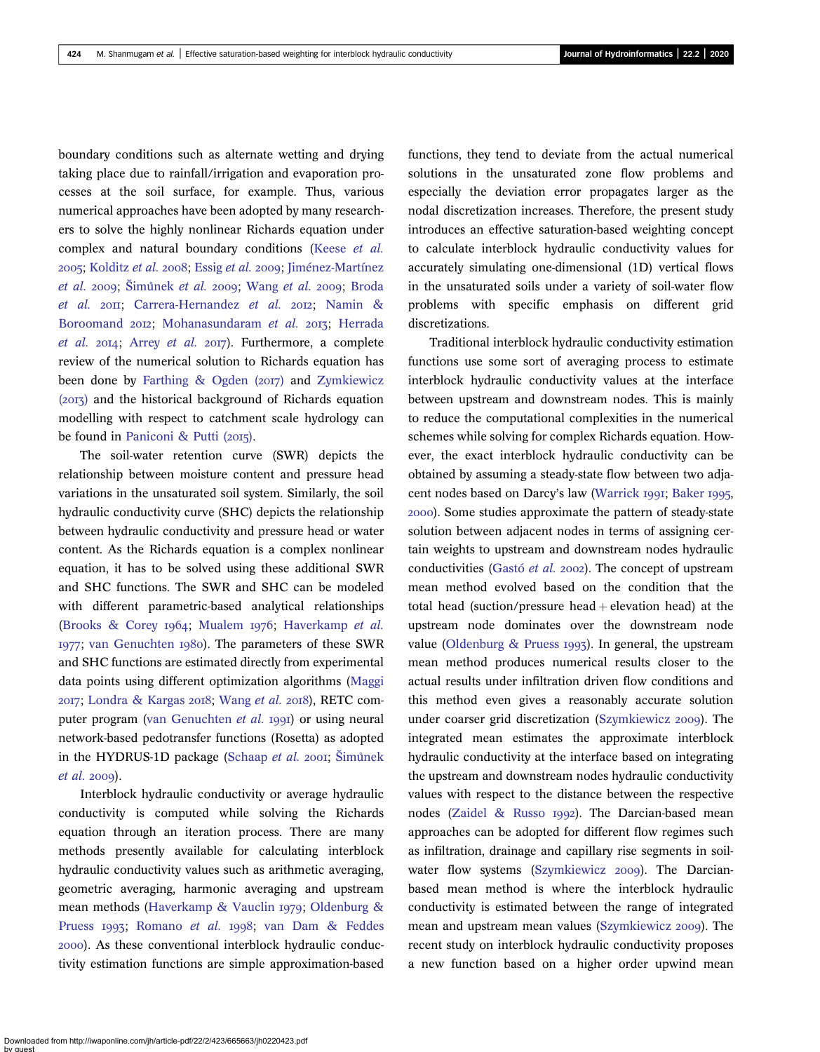boundary conditions such as alternate wetting and drying taking place due to rainfall/irrigation and evaporation processes at the soil surface, for example. Thus, various numerical approaches have been adopted by many researchers to solve the highly nonlinear Richards equation under complex and natural boundary conditions (Keese *et al.* 2005; Kolditz et al. 2008; Essig et al. 2009; Jiménez-Martínez *et al.* 2009; Šimůnek *et al.* 2009; Wang *et al.* 2009; Broda et al. 2011; Carrera-Hernandez et al. 2012; Namin & Boroomand 2012; Mohanasundaram et al. 2013; Herrada *et al.* 2014; Arrey *et al.* 2017). Furthermore, a complete review of the numerical solution to Richards equation has been done by Farthing & Ogden  $(2017)$  and Zymkiewicz  $(20I)$  and the historical background of Richards equation modelling with respect to catchment scale hydrology can be found in Paniconi & Putti  $(2015)$ .

The soil-water retention curve (SWR) depicts the relationship between moisture content and pressure head variations in the unsaturated soil system. Similarly, the soil hydraulic conductivity curve (SHC) depicts the relationship between hydraulic conductivity and pressure head or water content. As the Richards equation is a complex nonlinear equation, it has to be solved using these additional SWR and SHC functions. The SWR and SHC can be modeled with different parametric-based analytical relationships (Brooks & Corey 1964; Mualem 1976; Haverkamp et al. 1977; van Genuchten 1980). The parameters of these SWR and SHC functions are estimated directly from experimental data points using different optimization algorithms (Maggi 2017; Londra & Kargas 2018; Wang et al. 2018), RETC computer program (van Genuchten *et al.* 1991) or using neural network-based pedotransfer functions (Rosetta) as adopted in the HYDRUS-1D package (Schaap *et al.* 2001; Šimůnek *et al.* 2009).

Interblock hydraulic conductivity or average hydraulic conductivity is computed while solving the Richards equation through an iteration process. There are many methods presently available for calculating interblock hydraulic conductivity values such as arithmetic averaging, geometric averaging, harmonic averaging and upstream mean methods (Haverkamp & Vauclin 1979; Oldenburg & Pruess 1993; Romano et al. 1998; van Dam & Feddes ). As these conventional interblock hydraulic conductivity estimation functions are simple approximation-based functions, they tend to deviate from the actual numerical solutions in the unsaturated zone flow problems and especially the deviation error propagates larger as the nodal discretization increases. Therefore, the present study introduces an effective saturation-based weighting concept to calculate interblock hydraulic conductivity values for accurately simulating one-dimensional (1D) vertical flows in the unsaturated soils under a variety of soil-water flow problems with specific emphasis on different grid discretizations.

Traditional interblock hydraulic conductivity estimation functions use some sort of averaging process to estimate interblock hydraulic conductivity values at the interface between upstream and downstream nodes. This is mainly to reduce the computational complexities in the numerical schemes while solving for complex Richards equation. However, the exact interblock hydraulic conductivity can be obtained by assuming a steady-state flow between two adjacent nodes based on Darcy's law (Warrick 1991; Baker 1995, ). Some studies approximate the pattern of steady-state solution between adjacent nodes in terms of assigning certain weights to upstream and downstream nodes hydraulic conductivities (Gastó et al. 2002). The concept of upstream mean method evolved based on the condition that the total head (suction/pressure head  $+$  elevation head) at the upstream node dominates over the downstream node value (Oldenburg & Pruess 1993). In general, the upstream mean method produces numerical results closer to the actual results under infiltration driven flow conditions and this method even gives a reasonably accurate solution under coarser grid discretization (Szymkiewicz 2009). The integrated mean estimates the approximate interblock hydraulic conductivity at the interface based on integrating the upstream and downstream nodes hydraulic conductivity values with respect to the distance between the respective nodes (Zaidel & Russo 1992). The Darcian-based mean approaches can be adopted for different flow regimes such as infiltration, drainage and capillary rise segments in soilwater flow systems (Szymkiewicz 2009). The Darcianbased mean method is where the interblock hydraulic conductivity is estimated between the range of integrated mean and upstream mean values (Szymkiewicz 2009). The recent study on interblock hydraulic conductivity proposes a new function based on a higher order upwind mean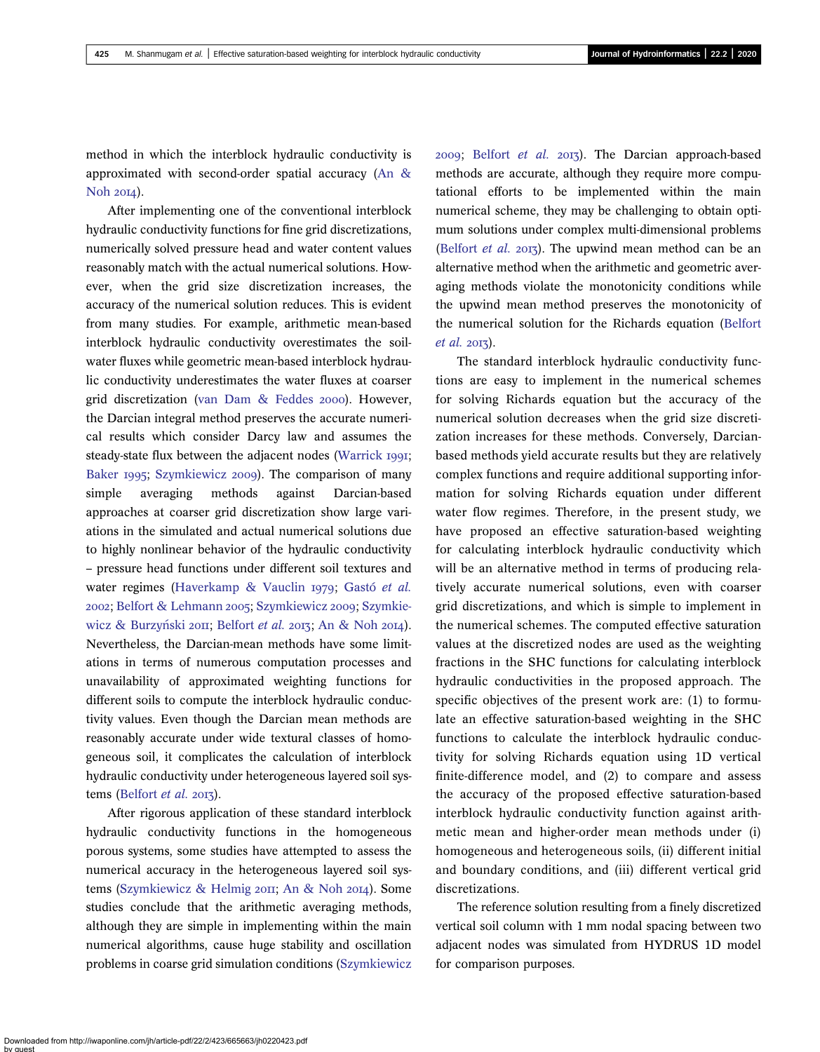method in which the interblock hydraulic conductivity is approximated with second-order spatial accuracy (An & Noh 2014).

After implementing one of the conventional interblock hydraulic conductivity functions for fine grid discretizations, numerically solved pressure head and water content values reasonably match with the actual numerical solutions. However, when the grid size discretization increases, the accuracy of the numerical solution reduces. This is evident from many studies. For example, arithmetic mean-based interblock hydraulic conductivity overestimates the soilwater fluxes while geometric mean-based interblock hydraulic conductivity underestimates the water fluxes at coarser grid discretization (van Dam & Feddes 2000). However, the Darcian integral method preserves the accurate numerical results which consider Darcy law and assumes the steady-state flux between the adjacent nodes (Warrick 1991; Baker 1995; Szymkiewicz 2009). The comparison of many simple averaging methods against Darcian-based approaches at coarser grid discretization show large variations in the simulated and actual numerical solutions due to highly nonlinear behavior of the hydraulic conductivity – pressure head functions under different soil textures and water regimes (Haverkamp & Vauclin 1979; Gastó et al. 2002; Belfort & Lehmann 2005; Szymkiewicz 2009; Szymkiewicz & Burzyński 2011; Belfort et al. 2013; An & Noh 2014). Nevertheless, the Darcian-mean methods have some limitations in terms of numerous computation processes and unavailability of approximated weighting functions for different soils to compute the interblock hydraulic conductivity values. Even though the Darcian mean methods are reasonably accurate under wide textural classes of homogeneous soil, it complicates the calculation of interblock hydraulic conductivity under heterogeneous layered soil systems (Belfort *et al.* 2013).

After rigorous application of these standard interblock hydraulic conductivity functions in the homogeneous porous systems, some studies have attempted to assess the numerical accuracy in the heterogeneous layered soil systems (Szymkiewicz & Helmig 2011; An & Noh 2014). Some studies conclude that the arithmetic averaging methods, although they are simple in implementing within the main numerical algorithms, cause huge stability and oscillation problems in coarse grid simulation conditions (Szymkiewicz

; Belfort *et al.* ). The Darcian approach-based methods are accurate, although they require more computational efforts to be implemented within the main numerical scheme, they may be challenging to obtain optimum solutions under complex multi-dimensional problems (Belfort *et al.* 2013). The upwind mean method can be an alternative method when the arithmetic and geometric averaging methods violate the monotonicity conditions while the upwind mean method preserves the monotonicity of the numerical solution for the Richards equation (Belfort *et al.* 2013).

The standard interblock hydraulic conductivity functions are easy to implement in the numerical schemes for solving Richards equation but the accuracy of the numerical solution decreases when the grid size discretization increases for these methods. Conversely, Darcianbased methods yield accurate results but they are relatively complex functions and require additional supporting information for solving Richards equation under different water flow regimes. Therefore, in the present study, we have proposed an effective saturation-based weighting for calculating interblock hydraulic conductivity which will be an alternative method in terms of producing relatively accurate numerical solutions, even with coarser grid discretizations, and which is simple to implement in the numerical schemes. The computed effective saturation values at the discretized nodes are used as the weighting fractions in the SHC functions for calculating interblock hydraulic conductivities in the proposed approach. The specific objectives of the present work are: (1) to formulate an effective saturation-based weighting in the SHC functions to calculate the interblock hydraulic conductivity for solving Richards equation using 1D vertical finite-difference model, and (2) to compare and assess the accuracy of the proposed effective saturation-based interblock hydraulic conductivity function against arithmetic mean and higher-order mean methods under (i) homogeneous and heterogeneous soils, (ii) different initial and boundary conditions, and (iii) different vertical grid discretizations.

The reference solution resulting from a finely discretized vertical soil column with 1 mm nodal spacing between two adjacent nodes was simulated from HYDRUS 1D model for comparison purposes.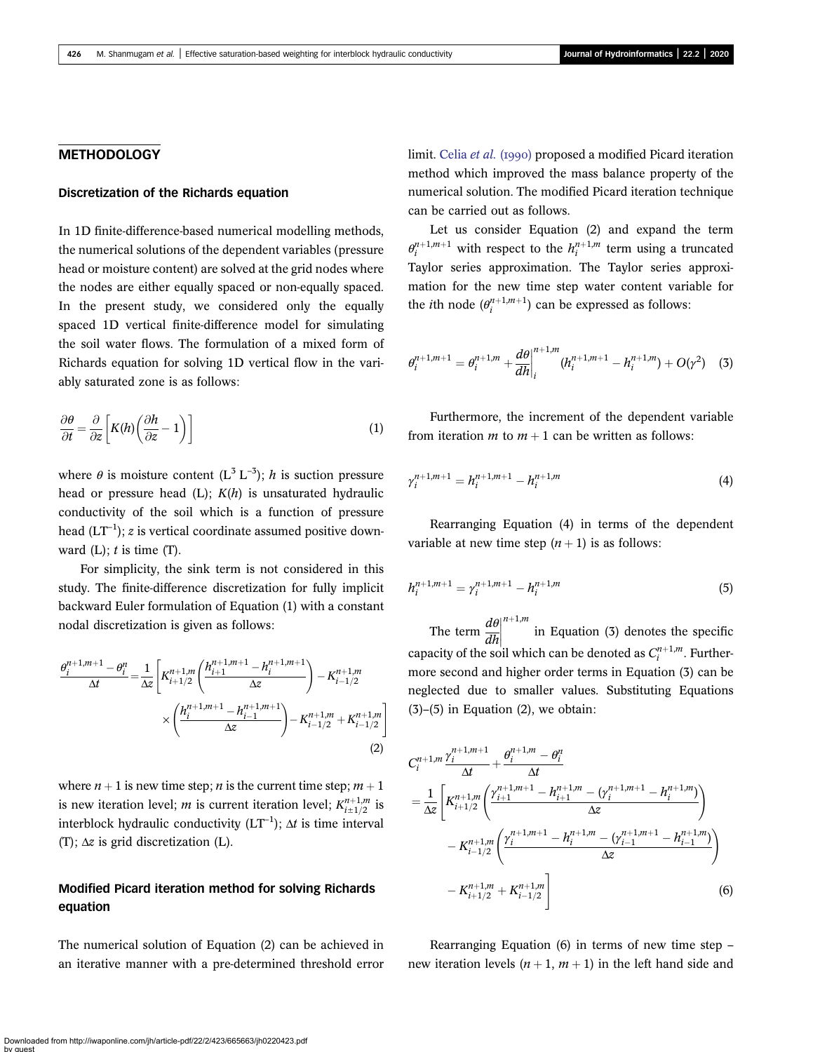### **METHODOLOGY**

#### Discretization of the Richards equation

In 1D finite-difference-based numerical modelling methods, the numerical solutions of the dependent variables (pressure head or moisture content) are solved at the grid nodes where the nodes are either equally spaced or non-equally spaced. In the present study, we considered only the equally spaced 1D vertical finite-difference model for simulating the soil water flows. The formulation of a mixed form of Richards equation for solving 1D vertical flow in the variably saturated zone is as follows:

$$
\frac{\partial \theta}{\partial t} = \frac{\partial}{\partial z} \left[ K(h) \left( \frac{\partial h}{\partial z} - 1 \right) \right] \tag{1}
$$

where  $\theta$  is moisture content ( $L^3 L^{-3}$ ); *h* is suction pressure head or pressure head (L); *K*(*h*) is unsaturated hydraulic conductivity of the soil which is a function of pressure head (LT<sup>-1</sup>); *z* is vertical coordinate assumed positive downward  $(L)$ ;  $t$  is time  $(T)$ .

For simplicity, the sink term is not considered in this study. The finite-difference discretization for fully implicit backward Euler formulation of Equation (1) with a constant nodal discretization is given as follows:

$$
\frac{\theta_i^{n+1,m+1} - \theta_i^n}{\Delta t} = \frac{1}{\Delta z} \left[ K_{i+1/2}^{n+1,m} \left( \frac{h_{i+1}^{n+1,m+1} - h_i^{n+1,m+1}}{\Delta z} \right) - K_{i-1/2}^{n+1,m} \right] \times \left( \frac{h_i^{n+1,m+1} - h_{i-1}^{n+1,m+1}}{\Delta z} \right) - K_{i-1/2}^{n+1,m} + K_{i-1/2}^{n+1,m} \right]
$$
\n(2)

where  $n + 1$  is new time step; *n* is the current time step;  $m + 1$ is new iteration level; *m* is current iteration level;  $K_{i\pm1/2}^{n+1,m}$  is interblock hydraulic conductivity  $(LT^{-1})$ ;  $\Delta t$  is time interval (T); Δ*z* is grid discretization (L).

### Modified Picard iteration method for solving Richards equation

The numerical solution of Equation (2) can be achieved in an iterative manner with a pre-determined threshold error limit. Celia *et al.* (1990) proposed a modified Picard iteration method which improved the mass balance property of the numerical solution. The modified Picard iteration technique can be carried out as follows.

Let us consider Equation (2) and expand the term  $\theta_i^{n+1,m+1}$  with respect to the  $h_i^{n+1,m}$  term using a truncated Taylor series approximation. The Taylor series approximation for the new time step water content variable for the *i*th node  $(\theta_i^{n+1,m+1})$  can be expressed as follows:

$$
\theta_i^{n+1,m+1} = \theta_i^{n+1,m} + \frac{d\theta}{dh}\Big|_i^{n+1,m} (h_i^{n+1,m+1} - h_i^{n+1,m}) + O(\gamma^2)
$$
 (3)

Furthermore, the increment of the dependent variable from iteration *m* to  $m + 1$  can be written as follows:

$$
\gamma_i^{n+1,m+1} = h_i^{n+1,m+1} - h_i^{n+1,m}
$$
\n(4)

Rearranging Equation (4) in terms of the dependent variable at new time step  $(n + 1)$  is as follows:

$$
h_i^{n+1,m+1} = \gamma_i^{n+1,m+1} - h_i^{n+1,m}
$$
 (5)

The term  $\frac{d\theta}{dh}$  $\overline{\phantom{a}}$ capacity of the soil which can be denoted as  $C_i^{n+1,m}$ . Further $n+1,m$  in Equation (3) denotes the specific more second and higher order terms in Equation (3) can be neglected due to smaller values. Substituting Equations  $(3)$ – $(5)$  in Equation  $(2)$ , we obtain:

$$
C_{i}^{n+1,m} \frac{\gamma_{i}^{n+1,m+1}}{\Delta t} + \frac{\theta_{i}^{n+1,m} - \theta_{i}^{n}}{\Delta t}
$$
\n
$$
= \frac{1}{\Delta z} \left[ K_{i+1/2}^{n+1,m} \left( \frac{\gamma_{i+1}^{n+1,m-1} - h_{i+1}^{n+1,m} - (\gamma_{i}^{n+1,m+1} - h_{i}^{n+1,m})}{\Delta z} \right) - K_{i-1/2}^{n+1,m} \left( \frac{\gamma_{i}^{n+1,m+1} - h_{i}^{n+1,m} - (\gamma_{i-1}^{n+1,m+1} - h_{i-1}^{n+1,m})}{\Delta z} \right) - K_{i+1/2}^{n+1,m} + K_{i-1/2}^{n+1,m} \right] \tag{6}
$$

Rearranging Equation (6) in terms of new time step – new iteration levels  $(n + 1, m + 1)$  in the left hand side and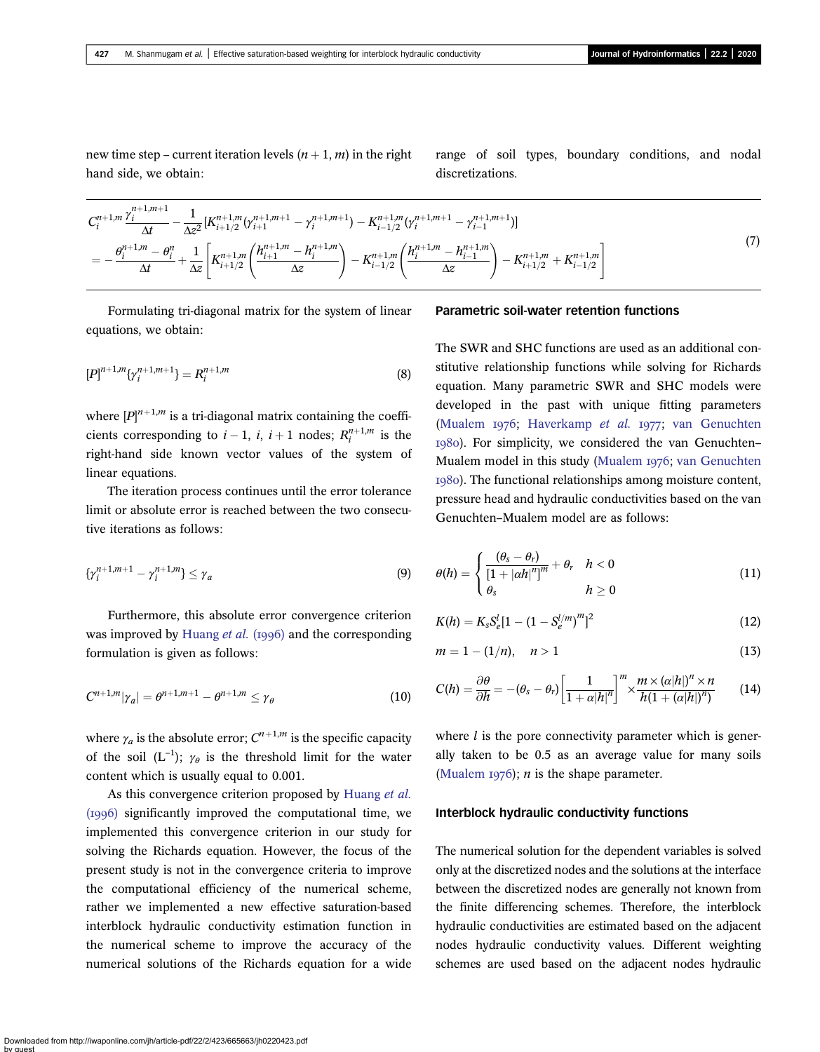new time step – current iteration levels  $(n + 1, m)$  in the right hand side, we obtain:

range of soil types, boundary conditions, and nodal discretizations.

$$
C_{i}^{n+1,m} \frac{\gamma_{i}^{n+1,m+1}}{\Delta t} - \frac{1}{\Delta z^{2}} \left[ K_{i+1/2}^{n+1,m} (\gamma_{i+1}^{n+1,m+1} - \gamma_{i}^{n+1,m+1}) - K_{i-1/2}^{n+1,m} (\gamma_{i}^{n+1,m+1} - \gamma_{i-1}^{n+1,m+1}) \right]
$$
  
= 
$$
- \frac{\theta_{i}^{n+1,m} - \theta_{i}^{n}}{\Delta t} + \frac{1}{\Delta z} \left[ K_{i+1/2}^{n+1,m} \left( \frac{h_{i+1}^{n+1,m} - h_{i}^{n+1,m}}{\Delta z} \right) - K_{i-1/2}^{n+1,m} \left( \frac{h_{i}^{n+1,m} - h_{i-1}^{n+1,m}}{\Delta z} \right) - K_{i+1/2}^{n+1,m} + K_{i-1/2}^{n+1,m} \right]
$$
(7)

Formulating tri-diagonal matrix for the system of linear equations, we obtain:

$$
[P]^{n+1,m} \{ \gamma_i^{n+1,m+1} \} = R_i^{n+1,m} \tag{8}
$$

where  $[P]^{n+1,m}$  is a tri-diagonal matrix containing the coefficients corresponding to  $i-1$ ,  $i$ ,  $i+1$  nodes;  $R_i^{n+1,m}$  is the right-hand side known vector values of the system of linear equations.

The iteration process continues until the error tolerance limit or absolute error is reached between the two consecutive iterations as follows:

$$
\{\gamma_i^{n+1,m+1} - \gamma_i^{n+1,m}\} \le \gamma_a \tag{9}
$$

Furthermore, this absolute error convergence criterion was improved by Huang *et al.* (1996) and the corresponding formulation is given as follows:

$$
C^{n+1,m}|\gamma_a| = \theta^{n+1,m+1} - \theta^{n+1,m} \leq \gamma_{\theta}
$$
\n
$$
(10)
$$

where  $\gamma_a$  is the absolute error;  $C^{n+1,m}$  is the specific capacity of the soil  $(L^{-1})$ ;  $\gamma_{\theta}$  is the threshold limit for the water content which is usually equal to 0.001.

As this convergence criterion proposed by Huang *et al.*  $(1996)$  significantly improved the computational time, we implemented this convergence criterion in our study for solving the Richards equation. However, the focus of the present study is not in the convergence criteria to improve the computational efficiency of the numerical scheme, rather we implemented a new effective saturation-based interblock hydraulic conductivity estimation function in the numerical scheme to improve the accuracy of the numerical solutions of the Richards equation for a wide

#### Parametric soil-water retention functions

The SWR and SHC functions are used as an additional constitutive relationship functions while solving for Richards equation. Many parametric SWR and SHC models were developed in the past with unique fitting parameters (Mualem 1976; Haverkamp et al. 1977; van Genuchten ). For simplicity, we considered the van Genuchten– Mualem model in this study (Mualem 1976; van Genuchten ). The functional relationships among moisture content, pressure head and hydraulic conductivities based on the van Genuchten–Mualem model are as follows:

$$
\theta(h) = \begin{cases} \frac{(\theta_S - \theta_r)}{\left[1 + |\alpha h|^n\right]^m} + \theta_r & h < 0\\ \theta_s & h \ge 0 \end{cases}
$$
(11)

$$
K(h) = K_s S_e^l [1 - (1 - S_e^{l/m})^m]^2
$$
\n(12)

$$
m = 1 - (1/n), \quad n > 1 \tag{13}
$$

$$
C(h) = \frac{\partial \theta}{\partial h} = -(\theta_s - \theta_r) \left[ \frac{1}{1 + \alpha |h|^n} \right]^m \times \frac{m \times (\alpha |h|)^n \times n}{h(1 + (\alpha |h|)^n)}
$$
(14)

where *l* is the pore connectivity parameter which is generally taken to be 0.5 as an average value for many soils (Mualem  $1976$ ); *n* is the shape parameter.

#### Interblock hydraulic conductivity functions

The numerical solution for the dependent variables is solved only at the discretized nodes and the solutions at the interface between the discretized nodes are generally not known from the finite differencing schemes. Therefore, the interblock hydraulic conductivities are estimated based on the adjacent nodes hydraulic conductivity values. Different weighting schemes are used based on the adjacent nodes hydraulic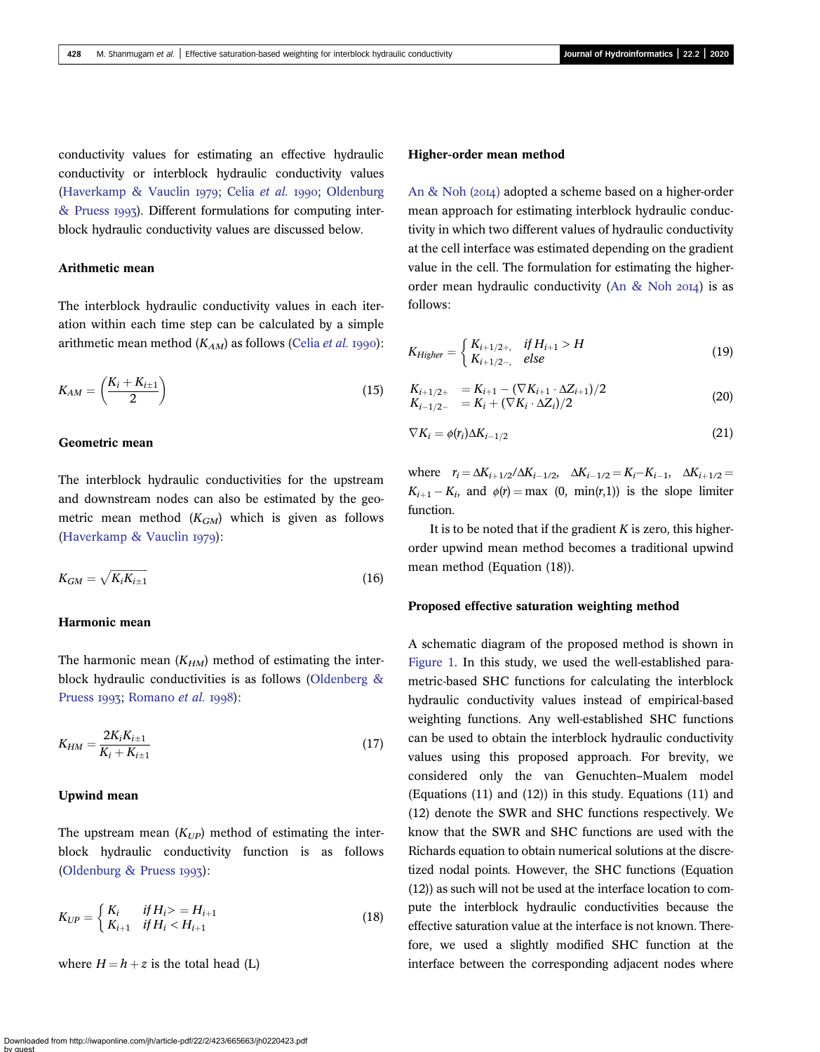conductivity values for estimating an effective hydraulic conductivity or interblock hydraulic conductivity values (Haverkamp & Vauclin 1979; Celia *et al.* 1990; Oldenburg & Pruess 1993). Different formulations for computing interblock hydraulic conductivity values are discussed below.

### Arithmetic mean

The interblock hydraulic conductivity values in each iteration within each time step can be calculated by a simple arithmetic mean method ( $K_{AM}$ ) as follows (Celia *et al.* 1990):

$$
K_{AM} = \left(\frac{K_i + K_{i\pm 1}}{2}\right) \tag{15}
$$

#### Geometric mean

The interblock hydraulic conductivities for the upstream and downstream nodes can also be estimated by the geometric mean method  $(K<sub>GM</sub>)$  which is given as follows (Haverkamp & Vauclin 1979):

$$
K_{GM} = \sqrt{K_i K_{i\pm 1}}\tag{16}
$$

#### Harmonic mean

The harmonic mean  $(K_{HM})$  method of estimating the interblock hydraulic conductivities is as follows (Oldenberg & Pruess 1993; Romano et al. 1998):

$$
K_{HM} = \frac{2K_i K_{i\pm 1}}{K_i + K_{i\pm 1}}\tag{17}
$$

#### Upwind mean

The upstream mean  $(K_{UP})$  method of estimating the interblock hydraulic conductivity function is as follows (Oldenburg & Pruess  $1993$ ):

$$
K_{UP} = \begin{cases} K_i & \text{if } H_i > H_{i+1} \\ K_{i+1} & \text{if } H_i < H_{i+1} \end{cases}
$$
 (18)

where  $H = h + z$  is the total head (L)

#### Higher-order mean method

An  $&$  Noh (2014) adopted a scheme based on a higher-order mean approach for estimating interblock hydraulic conductivity in which two different values of hydraulic conductivity at the cell interface was estimated depending on the gradient value in the cell. The formulation for estimating the higherorder mean hydraulic conductivity (An & Noh  $20I4$ ) is as follows:

$$
K_{Higher} = \begin{cases} K_{i+1/2+}, & if H_{i+1} > H \\ K_{i+1/2-}, & else \end{cases}
$$
(19)

$$
K_{i+1/2+} = K_{i+1} - (\nabla K_{i+1} \cdot \Delta Z_{i+1})/2 K_{i-1/2-} = K_i + (\nabla K_i \cdot \Delta Z_i)/2
$$
\n(20)

$$
\nabla K_i = \phi(r_i) \Delta K_{i-1/2} \tag{21}
$$

where  $r_i = \Delta K_{i+1/2}/\Delta K_{i-1/2}$ ,  $\Delta K_{i-1/2} = K_i - K_{i-1}$ ,  $\Delta K_{i+1/2} =$  $K_{i+1} - K_i$ , and  $\phi(r) = \max(0, \min(r,1))$  is the slope limiter function.

It is to be noted that if the gradient *K* is zero, this higherorder upwind mean method becomes a traditional upwind mean method (Equation (18)).

#### Proposed effective saturation weighting method

A schematic diagram of the proposed method is shown in Figure 1. In this study, we used the well-established parametric-based SHC functions for calculating the interblock hydraulic conductivity values instead of empirical-based weighting functions. Any well-established SHC functions can be used to obtain the interblock hydraulic conductivity values using this proposed approach. For brevity, we considered only the van Genuchten–Mualem model (Equations (11) and (12)) in this study. Equations (11) and (12) denote the SWR and SHC functions respectively. We know that the SWR and SHC functions are used with the Richards equation to obtain numerical solutions at the discretized nodal points. However, the SHC functions (Equation (12)) as such will not be used at the interface location to compute the interblock hydraulic conductivities because the effective saturation value at the interface is not known. Therefore, we used a slightly modified SHC function at the interface between the corresponding adjacent nodes where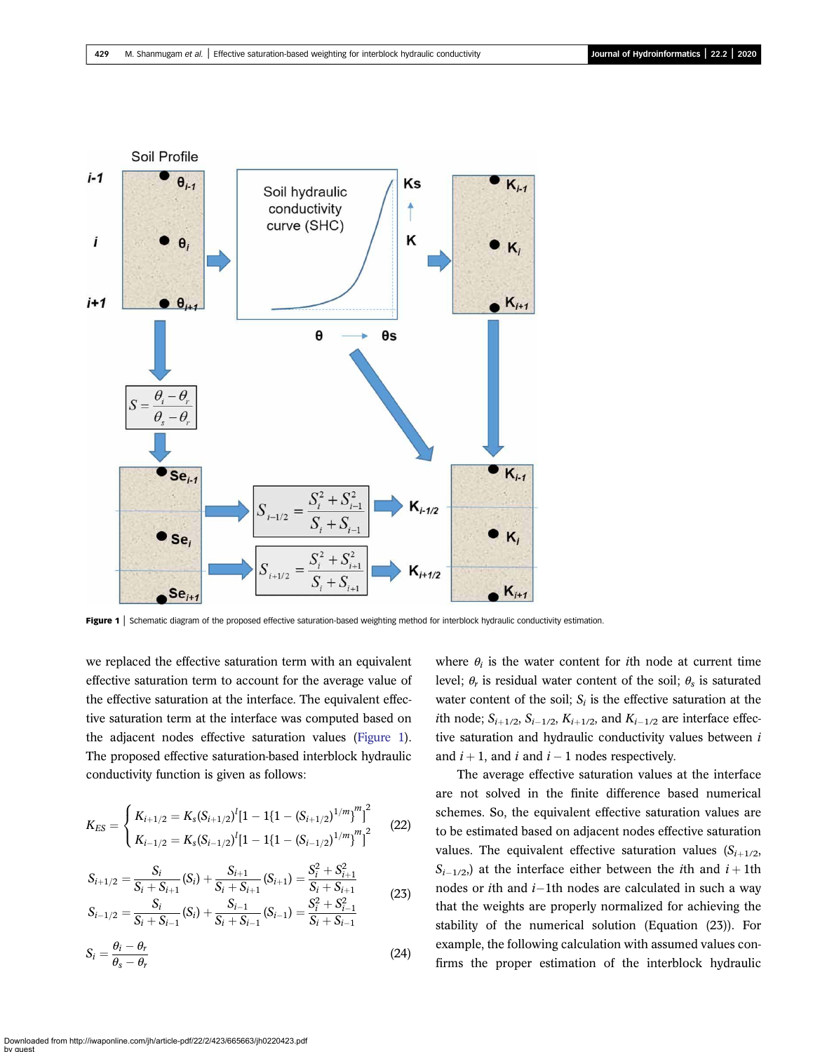

Figure 1 | Schematic diagram of the proposed effective saturation-based weighting method for interblock hydraulic conductivity estimation.

we replaced the effective saturation term with an equivalent effective saturation term to account for the average value of the effective saturation at the interface. The equivalent effective saturation term at the interface was computed based on the adjacent nodes effective saturation values (Figure 1). The proposed effective saturation-based interblock hydraulic conductivity function is given as follows:

$$
K_{ES} = \begin{cases} K_{i+1/2} = K_s (S_{i+1/2})^l [1 - 1\{1 - (S_{i+1/2})^{1/m}\}^m]^2 \\ K_{i-1/2} = K_s (S_{i-1/2})^l [1 - 1\{1 - (S_{i-1/2})^{1/m}\}^m]^2 \end{cases}
$$
(22)

$$
S_{i+1/2} = \frac{S_i}{S_i + S_{i+1}} (S_i) + \frac{S_{i+1}}{S_i + S_{i+1}} (S_{i+1}) = \frac{S_i^2 + S_{i+1}^2}{S_i + S_{i+1}}
$$
  
\n
$$
S_{i-1/2} = \frac{S_i}{S_i + S_{i-1}} (S_i) + \frac{S_{i-1}}{S_i + S_{i-1}} (S_{i-1}) = \frac{S_i^2 + S_{i-1}^2}{S_i + S_{i-1}}
$$
(23)

$$
S_i = \frac{\theta_i - \theta_r}{\theta_s - \theta_r} \tag{24}
$$

where  $\theta_i$  is the water content for *i*th node at current time level;  $\theta_r$  is residual water content of the soil;  $\theta_s$  is saturated water content of the soil;  $S_i$  is the effective saturation at the *i*th node;  $S_{i+1/2}$ ,  $S_{i-1/2}$ ,  $K_{i+1/2}$ , and  $K_{i-1/2}$  are interface effective saturation and hydraulic conductivity values between *i* and  $i + 1$ , and  $i$  and  $i - 1$  nodes respectively.

The average effective saturation values at the interface are not solved in the finite difference based numerical schemes. So, the equivalent effective saturation values are to be estimated based on adjacent nodes effective saturation values. The equivalent effective saturation values  $(S_{i+1/2}, S_{i})$  $S_{i-1/2}$ , at the interface either between the *i*th and  $i+1$ th nodes or *i*th and *i*-1th nodes are calculated in such a way that the weights are properly normalized for achieving the stability of the numerical solution (Equation (23)). For example, the following calculation with assumed values confirms the proper estimation of the interblock hydraulic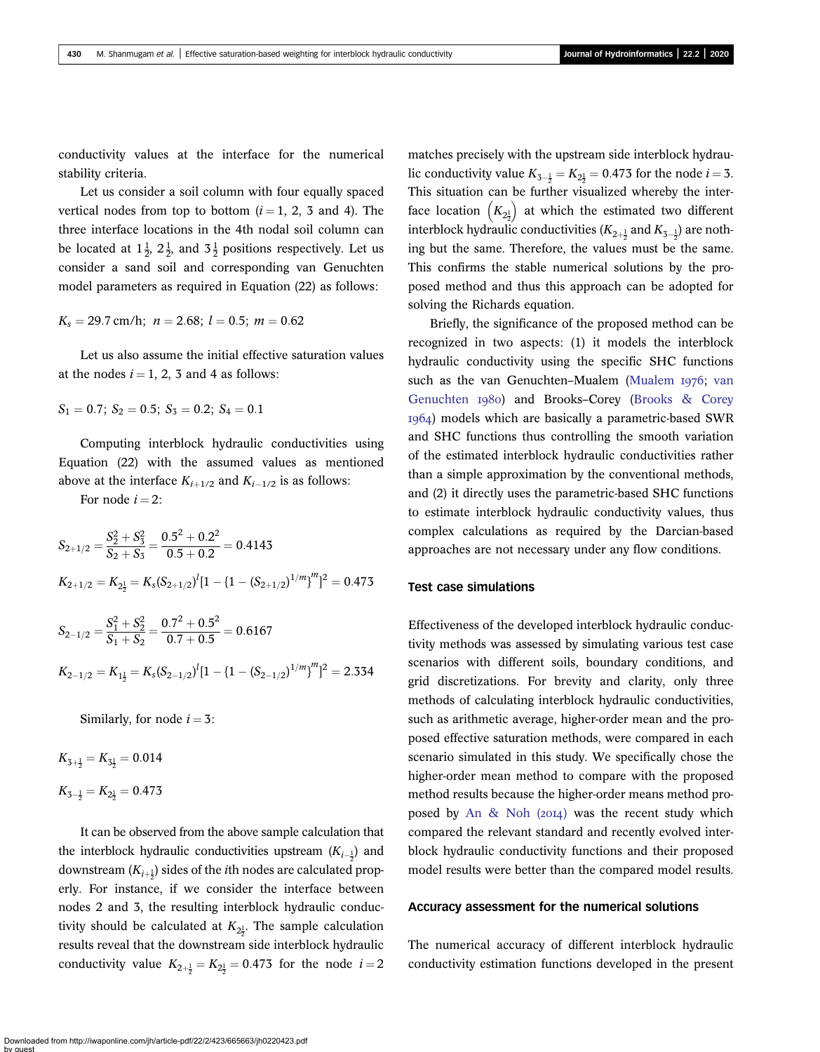conductivity values at the interface for the numerical stability criteria.

Let us consider a soil column with four equally spaced vertical nodes from top to bottom  $(i = 1, 2, 3, 4)$ . The three interface locations in the 4th nodal soil column can be located at  $1\frac{1}{2}$ ,  $2\frac{1}{2}$ , and  $3\frac{1}{2}$  positions respectively. Let us consider a sand soil and corresponding van Genuchten model parameters as required in Equation (22) as follows:

 $K_s = 29.7$  cm/h;  $n = 2.68$ ;  $l = 0.5$ ;  $m = 0.62$ 

Let us also assume the initial effective saturation values at the nodes  $i = 1, 2, 3$  and 4 as follows:

 $S_1 = 0.7$ ;  $S_2 = 0.5$ ;  $S_3 = 0.2$ ;  $S_4 = 0.1$ 

Computing interblock hydraulic conductivities using Equation (22) with the assumed values as mentioned above at the interface  $K_{i+1/2}$  and  $K_{i-1/2}$  is as follows:

For node  $i = 2$ :

$$
S_{2+1/2} = \frac{S_2^2 + S_3^2}{S_2 + S_3} = \frac{0.5^2 + 0.2^2}{0.5 + 0.2} = 0.4143
$$
  

$$
K_{2+1/2} = K_{2\frac{1}{2}} = K_s (S_{2+1/2})^l [1 - \{1 - (S_{2+1/2})^{1/m}\}^m]^2 = 0.473
$$

$$
S_{2-1/2} = \frac{S_1^2 + S_2^2}{S_1 + S_2} = \frac{0.7^2 + 0.5^2}{0.7 + 0.5} = 0.6167
$$
  

$$
K_{2-1/2} = K_{1\frac{1}{2}} = K_s (S_{2-1/2})^l [1 - \{1 - (S_{2-1/2})^{1/m}\}^m]^2 = 2.334
$$

Similarly, for node  $i = 3$ :

 $K_{\mathbf{3}+\frac{1}{2}}=K_{\mathbf{3\frac{1}{2}}}=0.014$  $K_{\mathbf{3} - \frac{1}{2}} = K_{2\frac{1}{2}} = 0.473$ 

It can be observed from the above sample calculation that the interblock hydraulic conductivities upstream  $(K_{i-\frac{1}{2}})$  and downstream  $(K_{i+\frac{1}{2}})$  sides of the *i*th nodes are calculated properly. For instance, if we consider the interface between nodes 2 and 3, the resulting interblock hydraulic conductivity should be calculated at  $K_{2^1_2}$ . The sample calculation results reveal that the downstream side interblock hydraulic conductivity value  $K_{2+\frac{1}{2}} = K_{2\frac{1}{2}} = 0.473$  for the node  $i = 2$ 

matches precisely with the upstream side interblock hydraulic conductivity value  $K_{3-\frac{1}{2}} = K_{2\frac{1}{2}} = 0.473$  for the node  $i = 3$ . This situation can be further visualized whereby the interface location  $\left(K_{2\frac{1}{2}}\right)$  at which the estimated two different interblock hydraulic conductivities ( $K_{2+\frac{1}{2}}$  and  $K_{3-\frac{1}{2}}$ ) are nothing but the same. Therefore, the values must be the same. This confirms the stable numerical solutions by the proposed method and thus this approach can be adopted for solving the Richards equation.

Briefly, the significance of the proposed method can be recognized in two aspects: (1) it models the interblock hydraulic conductivity using the specific SHC functions such as the van Genuchten–Mualem (Mualem 1976; van Genuchten 1980) and Brooks–Corey (Brooks & Corey ) models which are basically a parametric-based SWR and SHC functions thus controlling the smooth variation of the estimated interblock hydraulic conductivities rather than a simple approximation by the conventional methods, and (2) it directly uses the parametric-based SHC functions to estimate interblock hydraulic conductivity values, thus complex calculations as required by the Darcian-based approaches are not necessary under any flow conditions.

#### Test case simulations

Effectiveness of the developed interblock hydraulic conductivity methods was assessed by simulating various test case scenarios with different soils, boundary conditions, and grid discretizations. For brevity and clarity, only three methods of calculating interblock hydraulic conductivities, such as arithmetic average, higher-order mean and the proposed effective saturation methods, were compared in each scenario simulated in this study. We specifically chose the higher-order mean method to compare with the proposed method results because the higher-order means method proposed by An & Noh  $(20I4)$  was the recent study which compared the relevant standard and recently evolved interblock hydraulic conductivity functions and their proposed model results were better than the compared model results.

#### Accuracy assessment for the numerical solutions

The numerical accuracy of different interblock hydraulic conductivity estimation functions developed in the present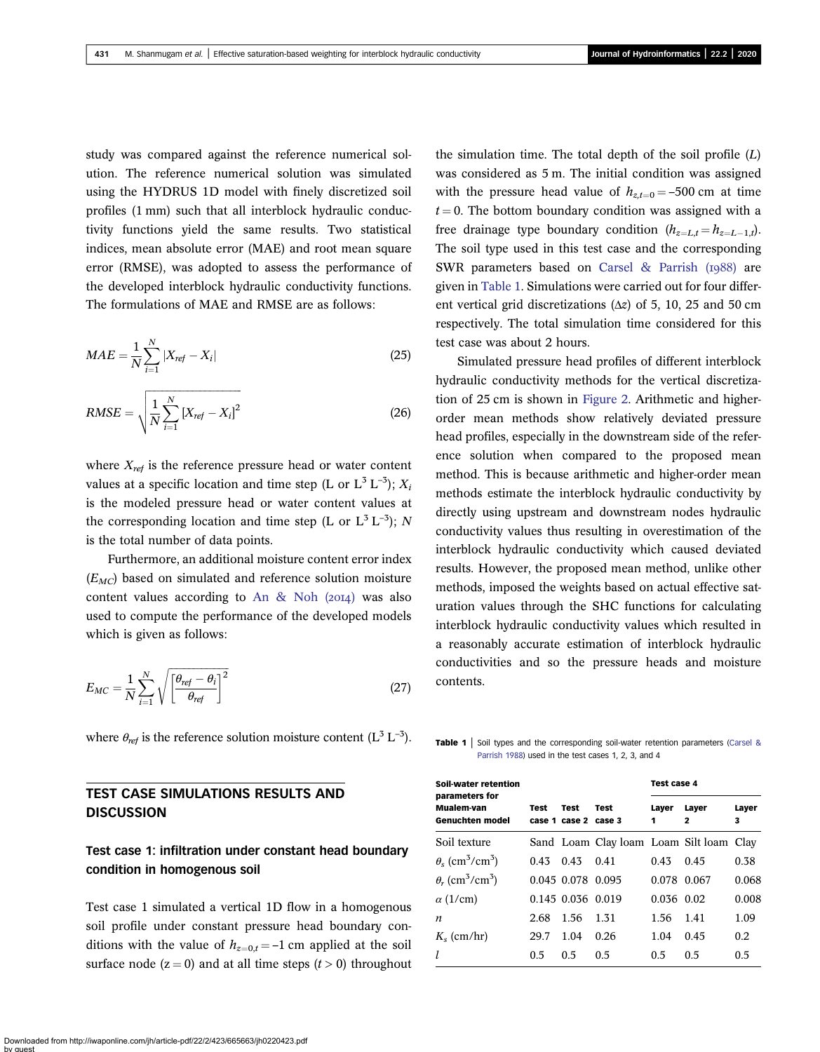study was compared against the reference numerical solution. The reference numerical solution was simulated using the HYDRUS 1D model with finely discretized soil profiles (1 mm) such that all interblock hydraulic conductivity functions yield the same results. Two statistical indices, mean absolute error (MAE) and root mean square error (RMSE), was adopted to assess the performance of the developed interblock hydraulic conductivity functions. The formulations of MAE and RMSE are as follows:

$$
MAE = \frac{1}{N} \sum_{i=1}^{N} |X_{ref} - X_i|
$$
\n(25)

$$
RMSE = \sqrt{\frac{1}{N} \sum_{i=1}^{N} \left[ X_{ref} - X_i \right]^2}
$$
 (26)

where  $X_{ref}$  is the reference pressure head or water content values at a specific location and time step (L or  $L^3 L^{-3}$ );  $X_i$ is the modeled pressure head or water content values at the corresponding location and time step (L or  $L^3 L^{-3}$ ); *N* is the total number of data points.

Furthermore, an additional moisture content error index (*EMC*) based on simulated and reference solution moisture content values according to An & Noh  $(2014)$  was also used to compute the performance of the developed models which is given as follows:

$$
E_{MC} = \frac{1}{N} \sum_{i=1}^{N} \sqrt{\left[\frac{\theta_{ref} - \theta_i}{\theta_{ref}}\right]^2}
$$
 (27)

where  $\theta_{ref}$  is the reference solution moisture content ( $L^3 L^{-3}$ ).

# TEST CASE SIMULATIONS RESULTS AND **DISCUSSION**

### Test case 1: infiltration under constant head boundary condition in homogenous soil

Test case 1 simulated a vertical 1D flow in a homogenous soil profile under constant pressure head boundary conditions with the value of  $h_{z=0,t} = -1$  cm applied at the soil surface node  $(z = 0)$  and at all time steps  $(t > 0)$  throughout the simulation time. The total depth of the soil profile (*L*) was considered as 5 m. The initial condition was assigned with the pressure head value of  $h_{z,t=0} = -500$  cm at time  $t = 0$ . The bottom boundary condition was assigned with a free drainage type boundary condition  $(h_{z=L,t} = h_{z=L-1,t})$ . The soil type used in this test case and the corresponding SWR parameters based on Carsel & Parrish  $(1988)$  are given in Table 1. Simulations were carried out for four different vertical grid discretizations (Δ*z*) of 5, 10, 25 and 50 cm respectively. The total simulation time considered for this test case was about 2 hours.

Simulated pressure head profiles of different interblock hydraulic conductivity methods for the vertical discretization of 25 cm is shown in Figure 2. Arithmetic and higherorder mean methods show relatively deviated pressure head profiles, especially in the downstream side of the reference solution when compared to the proposed mean method. This is because arithmetic and higher-order mean methods estimate the interblock hydraulic conductivity by directly using upstream and downstream nodes hydraulic conductivity values thus resulting in overestimation of the interblock hydraulic conductivity which caused deviated results. However, the proposed mean method, unlike other methods, imposed the weights based on actual effective saturation values through the SHC functions for calculating interblock hydraulic conductivity values which resulted in a reasonably accurate estimation of interblock hydraulic conductivities and so the pressure heads and moisture contents.

| Table 1 Soil types and the corresponding soil-water retention parameters (Carsel & |  |
|------------------------------------------------------------------------------------|--|
| Parrish 1988) used in the test cases 1, 2, 3, and 4                                |  |

| Soil-water retention                                   |      |                                     |                                         | Test case 4    |            |            |  |
|--------------------------------------------------------|------|-------------------------------------|-----------------------------------------|----------------|------------|------------|--|
| parameters for<br>Mualem-van<br><b>Genuchten model</b> | Test | <b>Test</b><br>case 1 case 2 case 3 | Test                                    | Layer<br>1     | Layer<br>2 | Layer<br>3 |  |
| Soil texture                                           |      |                                     | Sand Loam Clay loam Loam Silt loam Clay |                |            |            |  |
| $\theta_{\rm s}$ (cm <sup>3</sup> /cm <sup>3</sup> )   | 0.43 | 0.43                                | 0.41                                    | 0.43           | 0.45       | 0.38       |  |
| $\theta_r$ (cm <sup>3</sup> /cm <sup>3</sup> )         |      | 0.045 0.078 0.095                   |                                         | 0.078 0.067    |            | 0.068      |  |
| $\alpha$ (1/cm)                                        |      | 0.145 0.036 0.019                   |                                         | $0.036$ $0.02$ |            | 0.008      |  |
| n                                                      | 2.68 | 1.56                                | 1.31                                    | 1.56           | 1.41       | 1.09       |  |
| $K_s$ (cm/hr)                                          | 29.7 | 1.04                                | 0.26                                    | 1.04           | 0.45       | 0.2        |  |
|                                                        | 0.5  | 0.5                                 | 0.5                                     | 0.5            | 0.5        | 0.5        |  |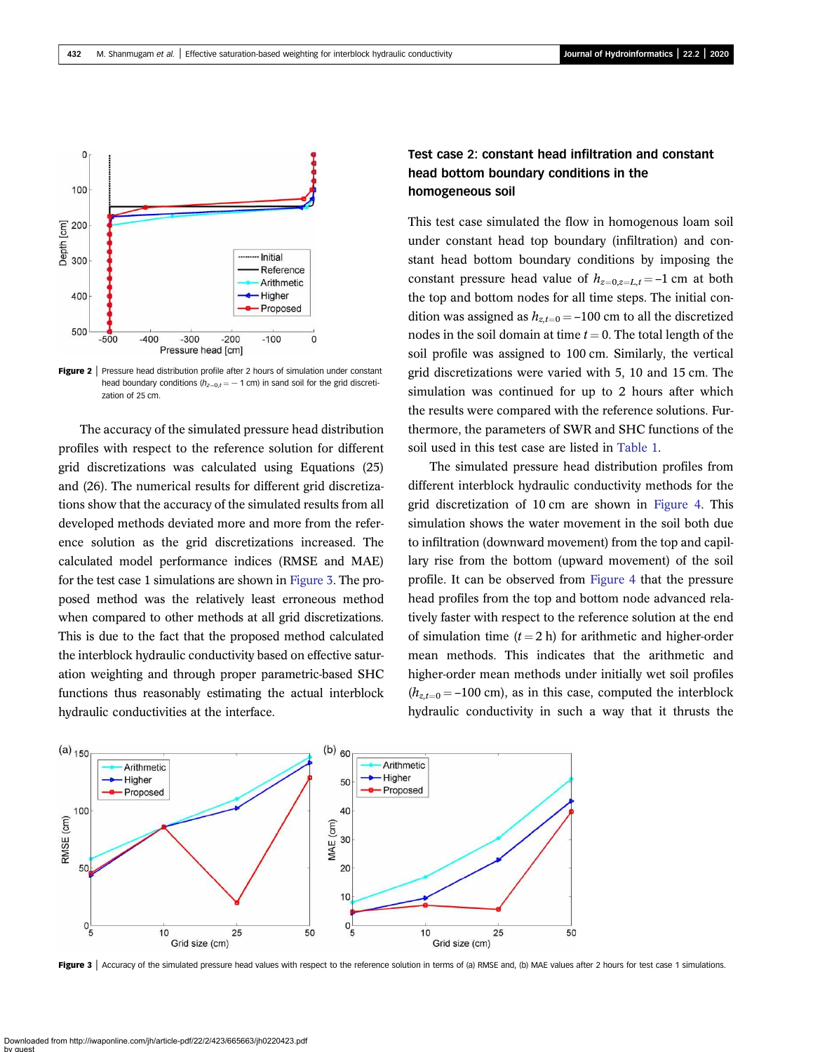

Figure 2 | Pressure head distribution profile after 2 hours of simulation under constant head boundary conditions ( $h_{z=0,t}$   $=$   $-$  1 cm) in sand soil for the grid discretization of 25 cm.

The accuracy of the simulated pressure head distribution profiles with respect to the reference solution for different grid discretizations was calculated using Equations (25) and (26). The numerical results for different grid discretizations show that the accuracy of the simulated results from all developed methods deviated more and more from the reference solution as the grid discretizations increased. The calculated model performance indices (RMSE and MAE) for the test case 1 simulations are shown in Figure 3. The proposed method was the relatively least erroneous method when compared to other methods at all grid discretizations. This is due to the fact that the proposed method calculated the interblock hydraulic conductivity based on effective saturation weighting and through proper parametric-based SHC functions thus reasonably estimating the actual interblock hydraulic conductivities at the interface.

# Test case 2: constant head infiltration and constant head bottom boundary conditions in the homogeneous soil

This test case simulated the flow in homogenous loam soil under constant head top boundary (infiltration) and constant head bottom boundary conditions by imposing the constant pressure head value of  $h_{z=0,z=L,t} = -1$  cm at both the top and bottom nodes for all time steps. The initial condition was assigned as  $h_{z,t=0} = -100$  cm to all the discretized nodes in the soil domain at time  $t = 0$ . The total length of the soil profile was assigned to 100 cm. Similarly, the vertical grid discretizations were varied with 5, 10 and 15 cm. The simulation was continued for up to 2 hours after which the results were compared with the reference solutions. Furthermore, the parameters of SWR and SHC functions of the soil used in this test case are listed in Table 1.

The simulated pressure head distribution profiles from different interblock hydraulic conductivity methods for the grid discretization of 10 cm are shown in Figure 4. This simulation shows the water movement in the soil both due to infiltration (downward movement) from the top and capillary rise from the bottom (upward movement) of the soil profile. It can be observed from Figure 4 that the pressure head profiles from the top and bottom node advanced relatively faster with respect to the reference solution at the end of simulation time  $(t = 2 h)$  for arithmetic and higher-order mean methods. This indicates that the arithmetic and higher-order mean methods under initially wet soil profiles  $(h_{z,t=0} = -100 \text{ cm})$ , as in this case, computed the interblock hydraulic conductivity in such a way that it thrusts the



Figure 3 | Accuracy of the simulated pressure head values with respect to the reference solution in terms of (a) RMSE and, (b) MAE values after 2 hours for test case 1 simulations.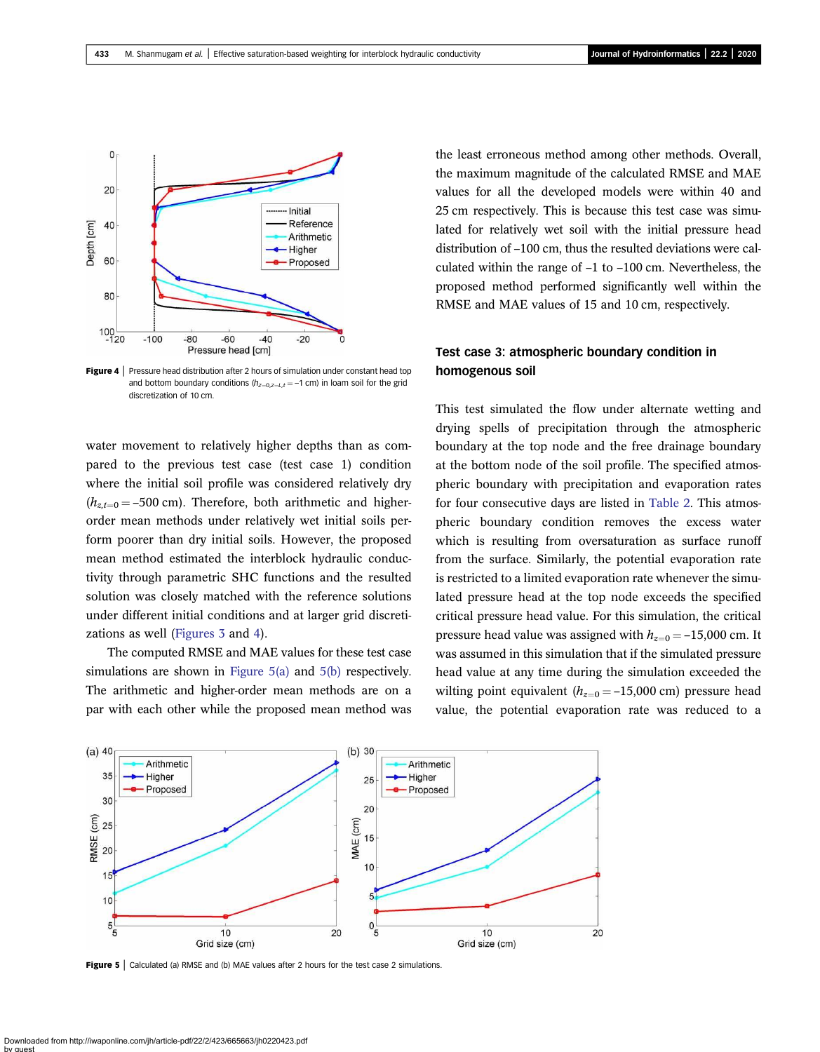

Figure 4 | Pressure head distribution after 2 hours of simulation under constant head top and bottom boundary conditions  $(h_{z=0,z=L,t} = -1$  cm) in loam soil for the grid discretization of 10 cm.

water movement to relatively higher depths than as compared to the previous test case (test case 1) condition where the initial soil profile was considered relatively dry  $(h_{z,t=0} = -500 \text{ cm})$ . Therefore, both arithmetic and higherorder mean methods under relatively wet initial soils perform poorer than dry initial soils. However, the proposed mean method estimated the interblock hydraulic conductivity through parametric SHC functions and the resulted solution was closely matched with the reference solutions under different initial conditions and at larger grid discretizations as well (Figures 3 and 4).

The computed RMSE and MAE values for these test case simulations are shown in Figure 5(a) and 5(b) respectively. The arithmetic and higher-order mean methods are on a par with each other while the proposed mean method was the least erroneous method among other methods. Overall, the maximum magnitude of the calculated RMSE and MAE values for all the developed models were within 40 and 25 cm respectively. This is because this test case was simulated for relatively wet soil with the initial pressure head distribution of –100 cm, thus the resulted deviations were calculated within the range of –1 to –100 cm. Nevertheless, the proposed method performed significantly well within the RMSE and MAE values of 15 and 10 cm, respectively.

## Test case 3: atmospheric boundary condition in homogenous soil

This test simulated the flow under alternate wetting and drying spells of precipitation through the atmospheric boundary at the top node and the free drainage boundary at the bottom node of the soil profile. The specified atmospheric boundary with precipitation and evaporation rates for four consecutive days are listed in Table 2. This atmospheric boundary condition removes the excess water which is resulting from oversaturation as surface runoff from the surface. Similarly, the potential evaporation rate is restricted to a limited evaporation rate whenever the simulated pressure head at the top node exceeds the specified critical pressure head value. For this simulation, the critical pressure head value was assigned with  $h_{z=0} = -15,000$  cm. It was assumed in this simulation that if the simulated pressure head value at any time during the simulation exceeded the wilting point equivalent ( $h_{z=0} = -15,000$  cm) pressure head value, the potential evaporation rate was reduced to a



Figure 5 | Calculated (a) RMSE and (b) MAE values after 2 hours for the test case 2 simulations.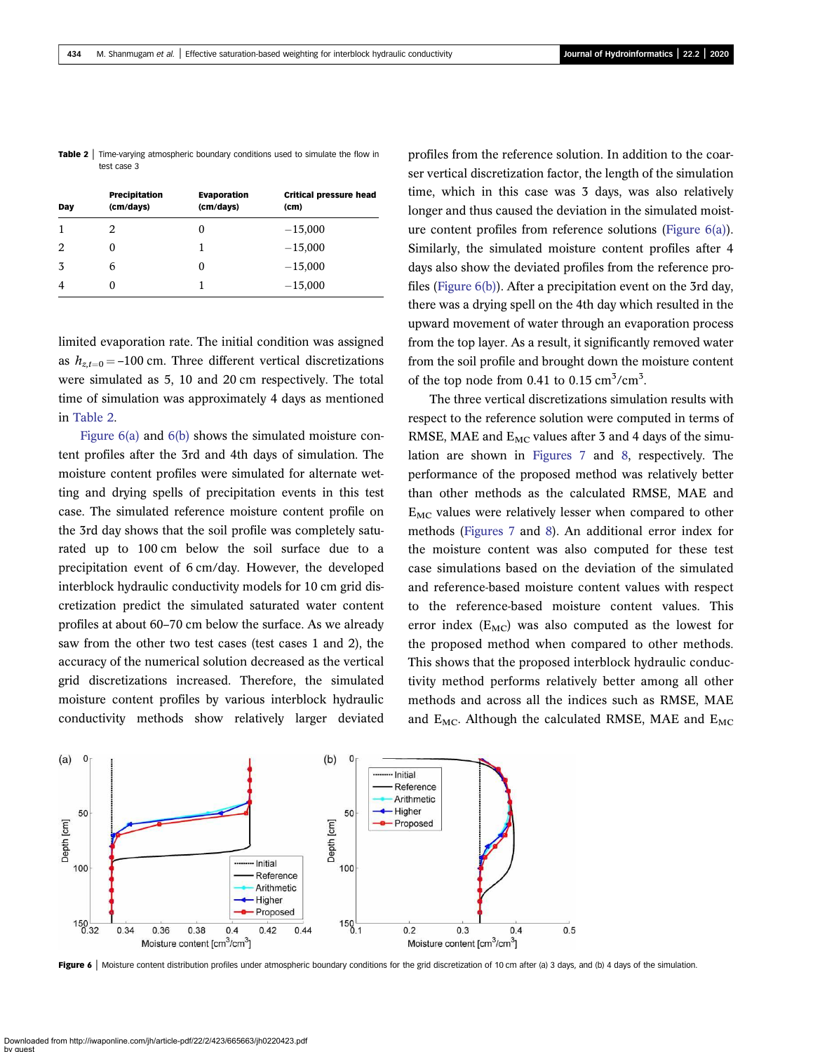Table 2 | Time-varying atmospheric boundary conditions used to simulate the flow in test case 3

| Day | Precipitation<br>(cm/days) | <b>Evaporation</b><br>(cm/days) | <b>Critical pressure head</b><br>(cm) |
|-----|----------------------------|---------------------------------|---------------------------------------|
|     | 2                          | $\theta$                        | $-15,000$                             |
| 2   | 0                          |                                 | $-15,000$                             |
| 3   | 6                          | $\theta$                        | $-15,000$                             |
| 4   | 0                          |                                 | $-15,000$                             |

limited evaporation rate. The initial condition was assigned as  $h_{z,t=0} = -100$  cm. Three different vertical discretizations were simulated as 5, 10 and 20 cm respectively. The total time of simulation was approximately 4 days as mentioned in Table 2.

Figure  $6(a)$  and  $6(b)$  shows the simulated moisture content profiles after the 3rd and 4th days of simulation. The moisture content profiles were simulated for alternate wetting and drying spells of precipitation events in this test case. The simulated reference moisture content profile on the 3rd day shows that the soil profile was completely saturated up to 100 cm below the soil surface due to a precipitation event of 6 cm/day. However, the developed interblock hydraulic conductivity models for 10 cm grid discretization predict the simulated saturated water content profiles at about 60–70 cm below the surface. As we already saw from the other two test cases (test cases 1 and 2), the accuracy of the numerical solution decreased as the vertical grid discretizations increased. Therefore, the simulated moisture content profiles by various interblock hydraulic conductivity methods show relatively larger deviated profiles from the reference solution. In addition to the coarser vertical discretization factor, the length of the simulation time, which in this case was 3 days, was also relatively longer and thus caused the deviation in the simulated moisture content profiles from reference solutions (Figure 6(a)). Similarly, the simulated moisture content profiles after 4 days also show the deviated profiles from the reference profiles (Figure 6(b)). After a precipitation event on the 3rd day, there was a drying spell on the 4th day which resulted in the upward movement of water through an evaporation process from the top layer. As a result, it significantly removed water from the soil profile and brought down the moisture content of the top node from 0.41 to  $0.15 \text{ cm}^3/\text{cm}^3$ .

The three vertical discretizations simulation results with respect to the reference solution were computed in terms of RMSE, MAE and  $E_{MC}$  values after 3 and 4 days of the simulation are shown in Figures 7 and 8, respectively. The performance of the proposed method was relatively better than other methods as the calculated RMSE, MAE and EMC values were relatively lesser when compared to other methods (Figures 7 and 8). An additional error index for the moisture content was also computed for these test case simulations based on the deviation of the simulated and reference-based moisture content values with respect to the reference-based moisture content values. This error index  $(E_{MC})$  was also computed as the lowest for the proposed method when compared to other methods. This shows that the proposed interblock hydraulic conductivity method performs relatively better among all other methods and across all the indices such as RMSE, MAE and  $E_{MC}$ . Although the calculated RMSE, MAE and  $E_{MC}$ 



Figure 6 | Moisture content distribution profiles under atmospheric boundary conditions for the grid discretization of 10 cm after (a) 3 days, and (b) 4 days of the simulation.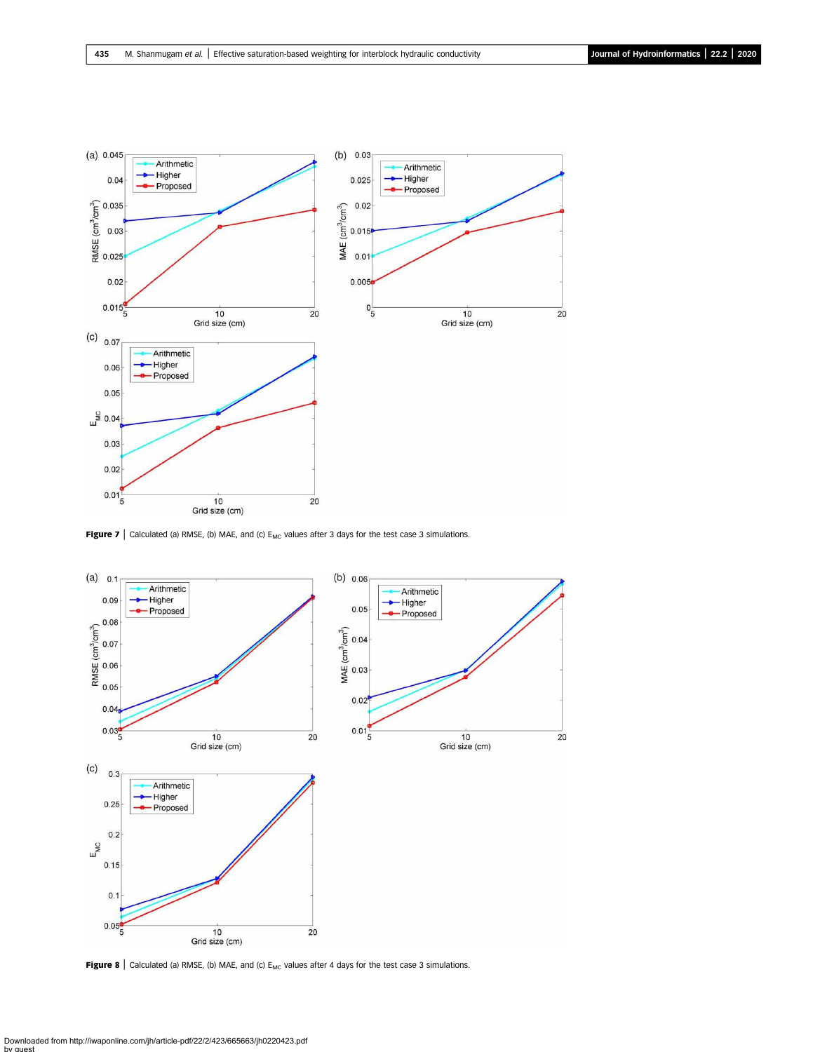

Figure  $7 \mid$  Calculated (a) RMSE, (b) MAE, and (c)  $E_{MC}$  values after 3 days for the test case 3 simulations.



Figure 8  $\vert$  Calculated (a) RMSE, (b) MAE, and (c)  $E_{MC}$  values after 4 days for the test case 3 simulations.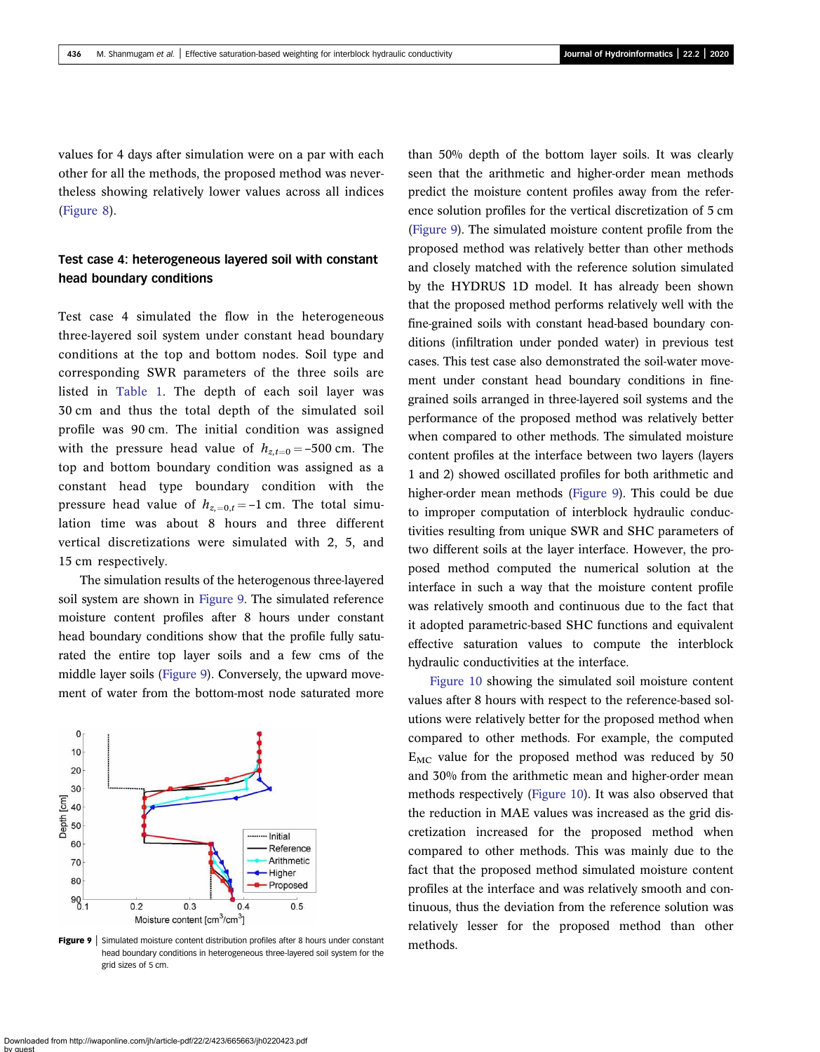values for 4 days after simulation were on a par with each other for all the methods, the proposed method was nevertheless showing relatively lower values across all indices (Figure 8).

## Test case 4: heterogeneous layered soil with constant head boundary conditions

Test case 4 simulated the flow in the heterogeneous three-layered soil system under constant head boundary conditions at the top and bottom nodes. Soil type and corresponding SWR parameters of the three soils are listed in Table 1. The depth of each soil layer was 30 cm and thus the total depth of the simulated soil profile was 90 cm. The initial condition was assigned with the pressure head value of  $h_{z,t=0} = -500$  cm. The top and bottom boundary condition was assigned as a constant head type boundary condition with the pressure head value of  $h_{z,0,t} = -1$  cm. The total simulation time was about 8 hours and three different vertical discretizations were simulated with 2, 5, and 15 cm respectively.

The simulation results of the heterogenous three-layered soil system are shown in Figure 9. The simulated reference moisture content profiles after 8 hours under constant head boundary conditions show that the profile fully saturated the entire top layer soils and a few cms of the middle layer soils (Figure 9). Conversely, the upward movement of water from the bottom-most node saturated more



Figure 9 | Simulated moisture content distribution profiles after 8 hours under constant methods. head boundary conditions in heterogeneous three-layered soil system for the grid sizes of 5 cm.

than 50% depth of the bottom layer soils. It was clearly seen that the arithmetic and higher-order mean methods predict the moisture content profiles away from the reference solution profiles for the vertical discretization of 5 cm (Figure 9). The simulated moisture content profile from the proposed method was relatively better than other methods and closely matched with the reference solution simulated by the HYDRUS 1D model. It has already been shown that the proposed method performs relatively well with the fine-grained soils with constant head-based boundary conditions (infiltration under ponded water) in previous test cases. This test case also demonstrated the soil-water movement under constant head boundary conditions in finegrained soils arranged in three-layered soil systems and the performance of the proposed method was relatively better when compared to other methods. The simulated moisture content profiles at the interface between two layers (layers 1 and 2) showed oscillated profiles for both arithmetic and higher-order mean methods (Figure 9). This could be due to improper computation of interblock hydraulic conductivities resulting from unique SWR and SHC parameters of two different soils at the layer interface. However, the proposed method computed the numerical solution at the interface in such a way that the moisture content profile was relatively smooth and continuous due to the fact that it adopted parametric-based SHC functions and equivalent effective saturation values to compute the interblock hydraulic conductivities at the interface.

Figure 10 showing the simulated soil moisture content values after 8 hours with respect to the reference-based solutions were relatively better for the proposed method when compared to other methods. For example, the computed  $E_{MC}$  value for the proposed method was reduced by 50 and 30% from the arithmetic mean and higher-order mean methods respectively (Figure 10). It was also observed that the reduction in MAE values was increased as the grid discretization increased for the proposed method when compared to other methods. This was mainly due to the fact that the proposed method simulated moisture content profiles at the interface and was relatively smooth and continuous, thus the deviation from the reference solution was relatively lesser for the proposed method than other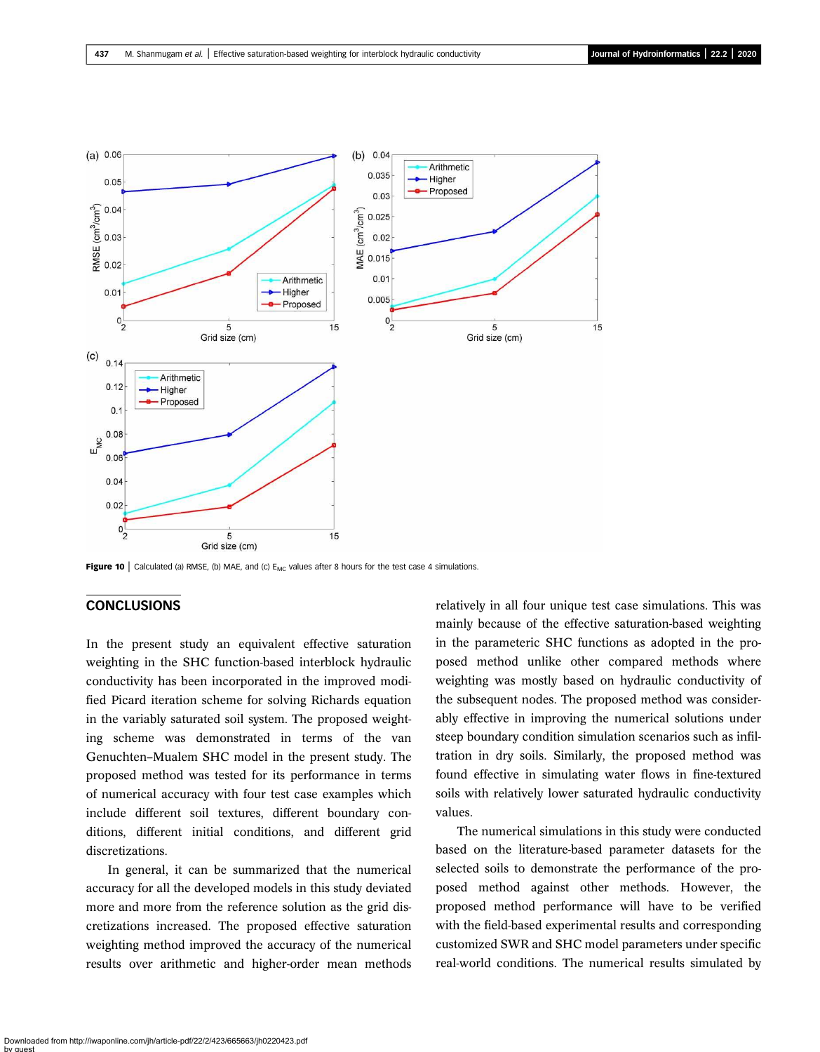

Figure 10  $\vert$  Calculated (a) RMSE, (b) MAE, and (c) E<sub>MC</sub> values after 8 hours for the test case 4 simulations.

### **CONCLUSIONS**

In the present study an equivalent effective saturation weighting in the SHC function-based interblock hydraulic conductivity has been incorporated in the improved modified Picard iteration scheme for solving Richards equation in the variably saturated soil system. The proposed weighting scheme was demonstrated in terms of the van Genuchten–Mualem SHC model in the present study. The proposed method was tested for its performance in terms of numerical accuracy with four test case examples which include different soil textures, different boundary conditions, different initial conditions, and different grid discretizations.

In general, it can be summarized that the numerical accuracy for all the developed models in this study deviated more and more from the reference solution as the grid discretizations increased. The proposed effective saturation weighting method improved the accuracy of the numerical results over arithmetic and higher-order mean methods relatively in all four unique test case simulations. This was mainly because of the effective saturation-based weighting in the parameteric SHC functions as adopted in the proposed method unlike other compared methods where weighting was mostly based on hydraulic conductivity of the subsequent nodes. The proposed method was considerably effective in improving the numerical solutions under steep boundary condition simulation scenarios such as infiltration in dry soils. Similarly, the proposed method was found effective in simulating water flows in fine-textured soils with relatively lower saturated hydraulic conductivity values.

The numerical simulations in this study were conducted based on the literature-based parameter datasets for the selected soils to demonstrate the performance of the proposed method against other methods. However, the proposed method performance will have to be verified with the field-based experimental results and corresponding customized SWR and SHC model parameters under specific real-world conditions. The numerical results simulated by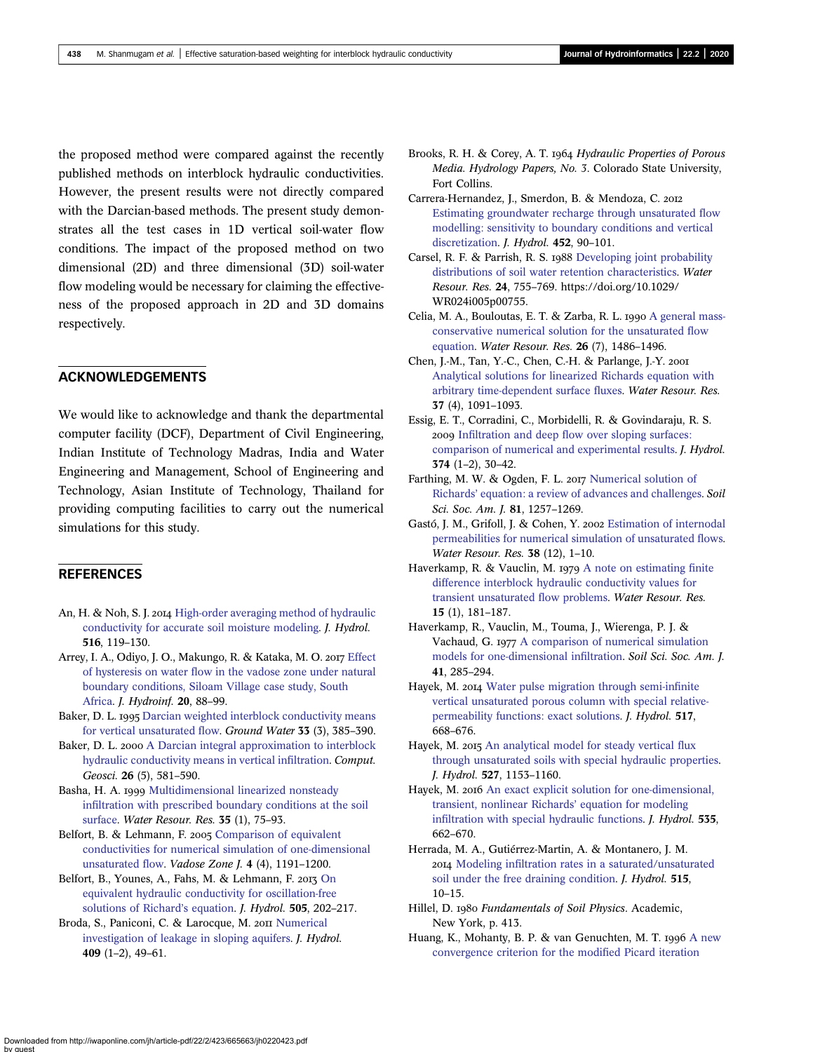the proposed method were compared against the recently published methods on interblock hydraulic conductivities. However, the present results were not directly compared with the Darcian-based methods. The present study demonstrates all the test cases in 1D vertical soil-water flow conditions. The impact of the proposed method on two dimensional (2D) and three dimensional (3D) soil-water flow modeling would be necessary for claiming the effectiveness of the proposed approach in 2D and 3D domains respectively.

### ACKNOWLEDGEMENTS

We would like to acknowledge and thank the departmental computer facility (DCF), Department of Civil Engineering, Indian Institute of Technology Madras, India and Water Engineering and Management, School of Engineering and Technology, Asian Institute of Technology, Thailand for providing computing facilities to carry out the numerical simulations for this study.

### **REFERENCES**

- An, H. & Noh, S. J. 2014 High-order averaging method of hydraulic conductivity for accurate soil moisture modeling. *J. Hydrol.* 516, 119–130.
- Arrey, I. A., Odiyo, J. O., Makungo, R. & Kataka, M. O. 2017 Effect of hysteresis on water flow in the vadose zone under natural boundary conditions, Siloam Village case study, South Africa. *J. Hydroinf.* 20, 88–99.
- Baker, D. L. 1995 Darcian weighted interblock conductivity means for vertical unsaturated flow. *Ground Water* 33 (3), 385–390.
- Baker, D. L. 2000 A Darcian integral approximation to interblock hydraulic conductivity means in vertical infiltration. *Comput. Geosci.* 26 (5), 581–590.

Basha, H. A. 1999 Multidimensional linearized nonsteady infiltration with prescribed boundary conditions at the soil surface. *Water Resour. Res.* 35 (1), 75–93.

Belfort, B. & Lehmann, F. 2005 Comparison of equivalent conductivities for numerical simulation of one-dimensional unsaturated flow. *Vadose Zone J.* 4 (4), 1191–1200.

Belfort, B., Younes, A., Fahs, M. & Lehmann, F. 2013 On equivalent hydraulic conductivity for oscillation-free solutions of Richard's equation. *J. Hydrol.* 505, 202–217.

Broda, S., Paniconi, C. & Larocque, M. 2011 Numerical investigation of leakage in sloping aquifers. *J. Hydrol.* 409 (1–2), 49–61.

- Brooks, R. H. & Corey, A. T. *Hydraulic Properties of Porous Media. Hydrology Papers, No. 3*. Colorado State University, Fort Collins.
- Carrera-Hernandez, J., Smerdon, B. & Mendoza, C. Estimating groundwater recharge through unsaturated flow modelling: sensitivity to boundary conditions and vertical discretization. *J. Hydrol.* 452, 90–101.
- Carsel, R. F. & Parrish, R. S. 1988 Developing joint probability distributions of soil water retention characteristics. *Water Resour. Res.* 24, 755–769. https://doi.org/10.1029/ WR024i005p00755.
- Celia, M. A., Bouloutas, E. T. & Zarba, R. L. 1990 A general massconservative numerical solution for the unsaturated flow equation. *Water Resour. Res.* 26 (7), 1486–1496.
- Chen, J.-M., Tan, Y.-C., Chen, C.-H. & Parlange, J.-Y. Analytical solutions for linearized Richards equation with arbitrary time-dependent surface fluxes. *Water Resour. Res.* 37 (4), 1091–1093.
- Essig, E. T., Corradini, C., Morbidelli, R. & Govindaraju, R. S. 2009 Infiltration and deep flow over sloping surfaces: comparison of numerical and experimental results. *J. Hydrol.* 374 (1–2), 30–42.
- Farthing, M. W. & Ogden, F. L. 2017 Numerical solution of Richards' equation: a review of advances and challenges. *Soil Sci. Soc. Am. J.* 81, 1257–1269.
- Gastó, J. M., Grifoll, J. & Cohen, Y. 2002 Estimation of internodal permeabilities for numerical simulation of unsaturated flows. *Water Resour. Res.* 38 (12), 1–10.
- Haverkamp, R. & Vauclin, M.  $1979$  A note on estimating finite difference interblock hydraulic conductivity values for transient unsaturated flow problems. *Water Resour. Res.* 15 (1), 181–187.
- Haverkamp, R., Vauclin, M., Touma, J., Wierenga, P. J. & Vachaud, G. 1977 A comparison of numerical simulation models for one-dimensional infiltration. *Soil Sci. Soc. Am. J.* 41, 285–294.
- Hayek, M. 2014 Water pulse migration through semi-infinite vertical unsaturated porous column with special relativepermeability functions: exact solutions. *J. Hydrol.* 517, 668–676.
- Hayek, M. 2015 An analytical model for steady vertical flux through unsaturated soils with special hydraulic properties. *J. Hydrol.* 527, 1153–1160.
- Hayek, M. 2016 An exact explicit solution for one-dimensional, transient, nonlinear Richards' equation for modeling infiltration with special hydraulic functions. *J. Hydrol.* 535, 662–670.
- Herrada, M. A., Gutiérrez-Martin, A. & Montanero, J. M. Modeling infiltration rates in a saturated/unsaturated soil under the free draining condition. *J. Hydrol.* 515, 10–15.
- Hillel, D. *Fundamentals of Soil Physics*. Academic, New York, p. 413.
- Huang, K., Mohanty, B. P. & van Genuchten, M. T. 1996 A new convergence criterion for the modified Picard iteration